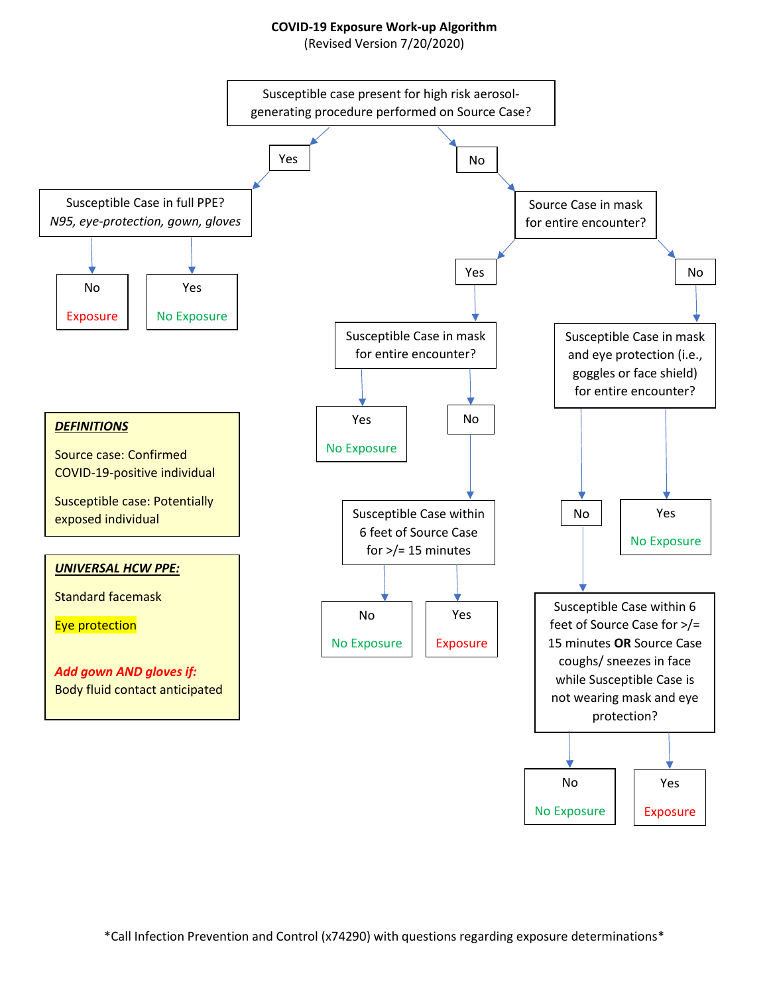## **COVID-19 Exposure Work-up Algorithm**

(Revised Version 7/20/2020)



\*Call Infection Prevention and Control (x74290) with questions regarding exposure determinations\*